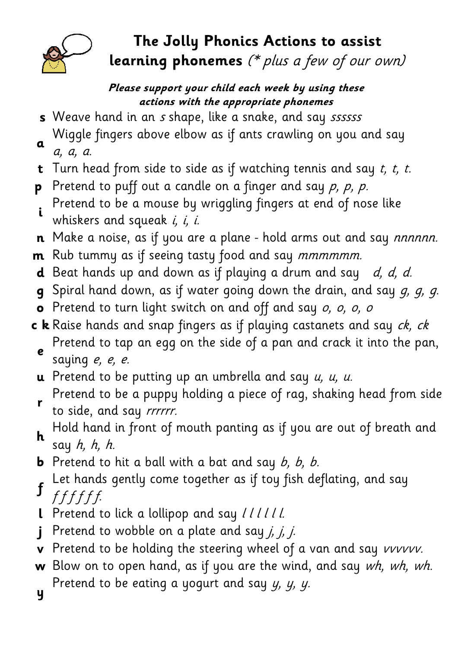

## The Jolly Phonics Actions to assist learning phonemes (\* plus a few of our own)

## Please support your child each week by using these actions with the appropriate phonemes

- s Weave hand in an s shape, like a snake, and say sssssss
- a Wiggle fingers above elbow as if ants crawling on you and say a, a, a.
- **t** Turn head from side to side as if watching tennis and say  $t$ ,  $t$ ,  $t$ .
- **p** Pretend to puff out a candle on a finger and say  $p$ ,  $p$ ,  $p$ .
- i Pretend to be a mouse by wriggling fingers at end of nose like whiskers and squeak  $i$ ,  $i$ ,  $i$ .
- **n** Make a noise, as if you are a plane hold arms out and say *nnnnnn*.
- **m** Rub tummy as if seeing tasty food and say *mmmmmm*.
- **d** Beat hands up and down as if playing a drum and say  $d, d, d$ .
- **q** Spiral hand down, as if water going down the drain, and say  $g$ ,  $g$ ,  $g$ .
- o Pretend to turn light switch on and off and say o, o, o, o
- $\mathbf c$  **k** Raise hands and snap fingers as if playing castanets and say  $ck$ ,  $ck$ e Pretend to tap an egg on the side of a pan and crack it into the pan, saying e, e, e.
- **u** Pretend to be putting up an umbrella and say  $u$ ,  $u$ ,  $u$ .
- Pretend to be a puppy holding a piece of rag, shaking head from side
- r to side, and say rrrrrr.
- h Hold hand in front of mouth panting as if you are out of breath and say  $h$ ,  $h$ ,  $h$ .
- **b** Pretend to hit a ball with a bat and say  $b$ ,  $b$ ,  $b$ .
- f Let hands gently come together as if toy fish deflating, and say
- f f f f f f.
- **l** Pretend to lick a lollipop and say //////
- j Pretend to wobble on a plate and say  $j$ ,  $j$ ,  $j$ .
- v Pretend to be holding the steering wheel of a van and say vvvvvv.
- w Blow on to open hand, as if you are the wind, and say  $wh$ , wh, wh. y Pretend to be eating a yogurt and say  $y$ ,  $y$ ,  $y$ .